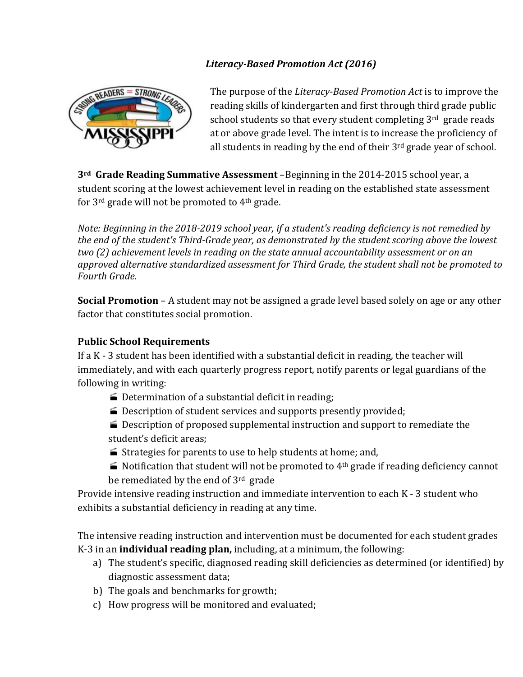## *Literacy-Based Promotion Act (2016)*



The purpose of the *Literacy-Based Promotion Act* is to improve the reading skills of kindergarten and first through third grade public school students so that every student completing 3rd grade reads at or above grade level. The intent is to increase the proficiency of all students in reading by the end of their  $3<sup>rd</sup>$  grade year of school.

**3<sup>rd</sup>** Grade Reading Summative Assessment –Beginning in the 2014-2015 school year, a student scoring at the lowest achievement level in reading on the established state assessment for  $3^{rd}$  grade will not be promoted to  $4^{th}$  grade.

*Note: Beginning in the 2018-2019 school year, if a student's reading deficiency is not remedied by* the end of the student's Third-Grade year, as demonstrated by the student scoring above the lowest *two* (2) achievement levels in reading on the state annual accountability assessment or on an approved alternative standardized assessment for Third Grade, the student shall not be promoted to *Fourth Grade.* 

**Social Promotion** – A student may not be assigned a grade level based solely on age or any other factor that constitutes social promotion.

## **Public School Requirements**

If a  $K - 3$  student has been identified with a substantial deficit in reading, the teacher will immediately, and with each quarterly progress report, notify parents or legal guardians of the following in writing:

- $\blacktriangleright$  Determination of a substantial deficit in reading;
- $\blacktriangleright$  Description of student services and supports presently provided;
- $\blacktriangleright$  Description of proposed supplemental instruction and support to remediate the student's deficit areas;
- $\blacktriangleright$  Strategies for parents to use to help students at home; and,
- $\blacktriangleright$  Notification that student will not be promoted to 4<sup>th</sup> grade if reading deficiency cannot be remediated by the end of  $3<sup>rd</sup>$  grade

Provide intensive reading instruction and immediate intervention to each  $K - 3$  student who exhibits a substantial deficiency in reading at any time.

The intensive reading instruction and intervention must be documented for each student grades K-3 in an **individual reading plan**, including, at a minimum, the following:

- a) The student's specific, diagnosed reading skill deficiencies as determined (or identified) by diagnostic assessment data;
- b) The goals and benchmarks for growth;
- c) How progress will be monitored and evaluated;